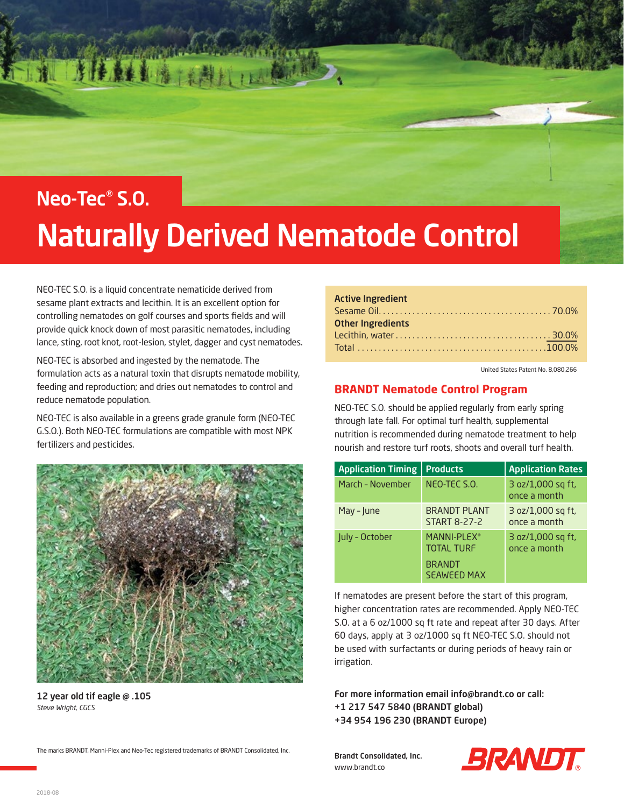

# Naturally Derived Nematode Control

NEO-TEC S.O. is a liquid concentrate nematicide derived from sesame plant extracts and lecithin. It is an excellent option for controlling nematodes on golf courses and sports fields and will provide quick knock down of most parasitic nematodes, including lance, sting, root knot, root-lesion, stylet, dagger and cyst nematodes.

NEO-TEC is absorbed and ingested by the nematode. The formulation acts as a natural toxin that disrupts nematode mobility, feeding and reproduction; and dries out nematodes to control and reduce nematode population.

NEO-TEC is also available in a greens grade granule form (NEO-TEC G.S.O.). Both NEO-TEC formulations are compatible with most NPK fertilizers and pesticides.



12 year old tif eagle @ .105 *Steve Wright, CGCS*

The marks BRANDT, Manni-Plex and Neo-Tec registered trademarks of BRANDT Consolidated, Inc.

| <b>Active Ingredient</b> |  |  |  |  |  |  |  |  |
|--------------------------|--|--|--|--|--|--|--|--|
|                          |  |  |  |  |  |  |  |  |
| <b>Other Ingredients</b> |  |  |  |  |  |  |  |  |
|                          |  |  |  |  |  |  |  |  |
|                          |  |  |  |  |  |  |  |  |

United States Patent No. 8,080,266

#### **BRANDT Nematode Control Program**

NEO-TEC S.O. should be applied regularly from early spring through late fall. For optimal turf health, supplemental nutrition is recommended during nematode treatment to help nourish and restore turf roots, shoots and overall turf health.

| <b>Application Timing</b> | <b>Products</b>                                                                     | <b>Application Rates</b>          |
|---------------------------|-------------------------------------------------------------------------------------|-----------------------------------|
| March - November          | NEO-TEC S.O.                                                                        | 3 oz/1,000 sq ft,<br>once a month |
| May - June                | <b>BRANDT PLANT</b><br><b>START 8-27-2</b>                                          | 3 oz/1,000 sq ft,<br>once a month |
| July - October            | MANNI-PLEX <sup>®</sup><br><b>TOTAL TURF</b><br><b>BRANDT</b><br><b>SEAWEED MAX</b> | 3 oz/1,000 sq ft,<br>once a month |

If nematodes are present before the start of this program, higher concentration rates are recommended. Apply NEO-TEC S.O. at a 6 oz/1000 sq ft rate and repeat after 30 days. After 60 days, apply at 3 oz/1000 sq ft NEO-TEC S.O. should not be used with surfactants or during periods of heavy rain or irrigation.

For more information email info@brandt.co or call: +1 217 547 5840 (BRANDT global) +34 954 196 230 (BRANDT Europe)

Brandt Consolidated, Inc. www.brandt.co